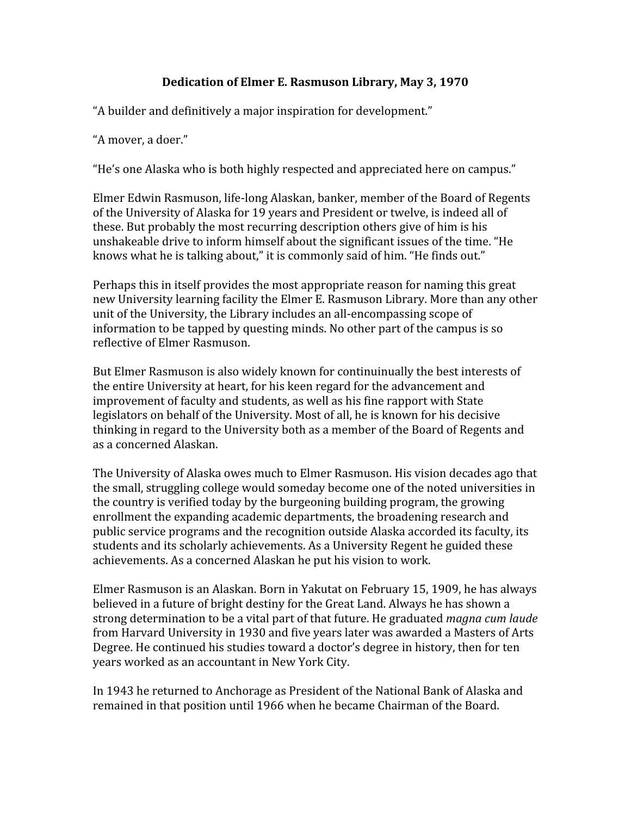## **Dedication
of
Elmer
E.
Rasmuson
Library,
May
3,
1970**

"A
builder
and
definitively
a
major
inspiration
for
development."

"A
mover,
a
doer."

"He's
one
Alaska
who
is
both
highly
respected
and
appreciated
here
on
campus."

Elmer
Edwin
Rasmuson,
life‐long
Alaskan,
banker,
member
of
the
Board
of
Regents of
the
University
of
Alaska
for
19
years
and
President
or
twelve,
is
indeed
all
of these.
But
probably
the
most
recurring
description
others
give
of
him
is
his unshakeable drive to inform himself about the significant issues of the time. "He knows what he is talking about," it is commonly said of him. "He finds out."

Perhaps this in itself provides the most appropriate reason for naming this great new
University
learning
facility
the
Elmer
E.
Rasmuson
Library.
More
than
any
other unit of the University, the Library includes an all-encompassing scope of information
to
be
tapped
by
questing
minds.
No
other
part
of
the
campus
is
so reflective
of
Elmer
Rasmuson.

But
Elmer
Rasmuson
is
also
widely
known
for
continuinually
the
best
interests
of the entire University at heart, for his keen regard for the advancement and improvement
of
faculty
and
students,
as
well
as
his
fine
rapport
with
State legislators on behalf of the University. Most of all, he is known for his decisive thinking in regard to the University both as a member of the Board of Regents and as
a
concerned
Alaskan.

The University of Alaska owes much to Elmer Rasmuson. His vision decades ago that the
small,
struggling
college
would
someday
become
one
of
the
noted
universities
in the
country
is
verified
today
by
the
burgeoning
building
program,
the
growing enrollment
the
expanding
academic
departments,
the
broadening
research
and public
service
programs
and
the
recognition
outside
Alaska
accorded
its
faculty,
its students
and
its
scholarly
achievements.
As
a
University
Regent
he
guided
these achievements.
As
a
concerned
Alaskan
he
put
his
vision
to
work.

Elmer Rasmuson is an Alaskan. Born in Yakutat on February 15, 1909, he has always believed in a future of bright destiny for the Great Land. Always he has shown a strong determination to be a vital part of that future. He graduated *magna cum laude* from
Harvard
University
in
1930
and
five
years
later
was
awarded
a
Masters
of
Arts Degree. He continued his studies toward a doctor's degree in history, then for ten years
worked
as
an
accountant
in
New
York
City.

In
1943
he
returned
to
Anchorage
as
President
of
the
National
Bank
of
Alaska
and remained
in
that
position
until
1966
when
he
became
Chairman
of
the
Board.